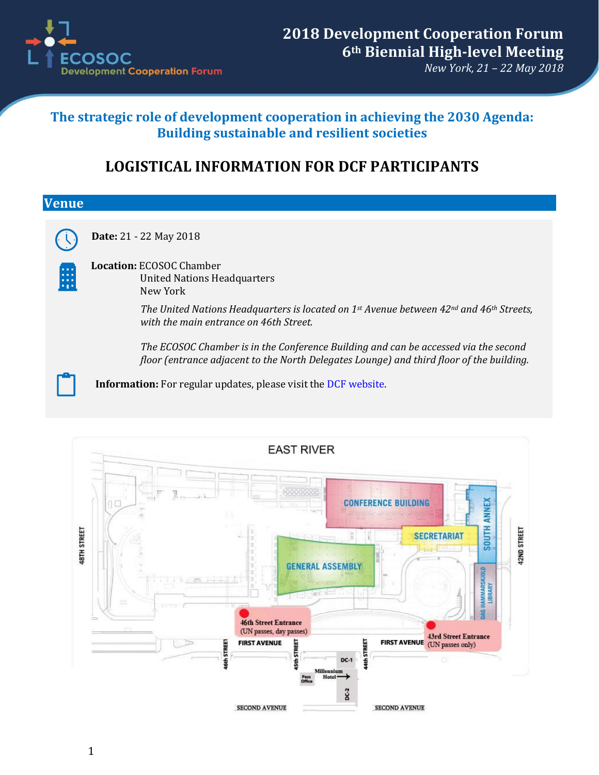

## **The strategic role of development cooperation in achieving the 2030 Agenda: Building sustainable and resilient societies**

## **LOGISTICAL INFORMATION FOR DCF PARTICIPANTS**

| <b>Venue</b> |                                                                                                                                                                                 |
|--------------|---------------------------------------------------------------------------------------------------------------------------------------------------------------------------------|
|              | Date: 21 - 22 May 2018                                                                                                                                                          |
| la sia<br>88 | <b>Location: ECOSOC Chamber</b><br><b>United Nations Headquarters</b><br>New York                                                                                               |
|              | The United Nations Headquarters is located on 1st Avenue between $42^{nd}$ and $46^{th}$ Streets,<br>with the main entrance on 46th Street.                                     |
|              | The ECOSOC Chamber is in the Conference Building and can be accessed via the second<br>floor (entrance adjacent to the North Delegates Lounge) and third floor of the building. |
|              | Information: For regular updates, please visit the DCF website.                                                                                                                 |

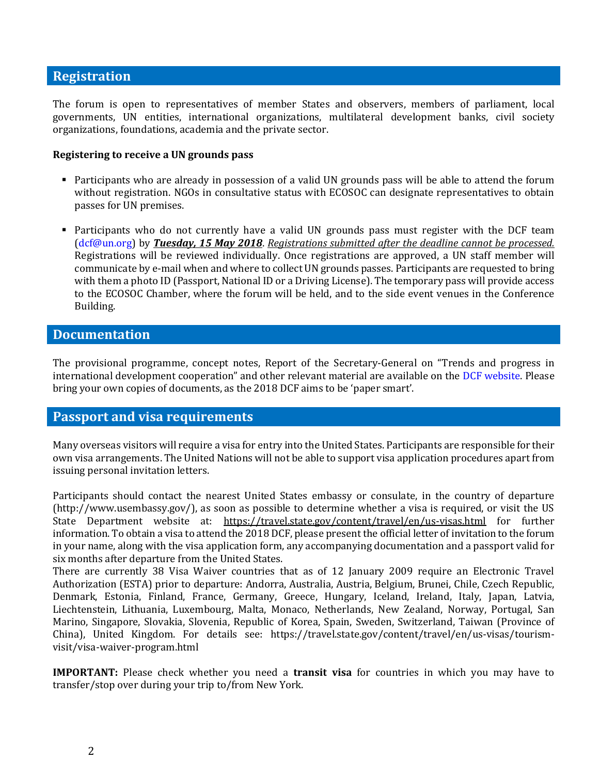## **Registration**

The forum is open to representatives of member States and observers, members of parliament, local governments, UN entities, international organizations, multilateral development banks, civil society organizations, foundations, academia and the private sector.

#### **Registering to receive a UN grounds pass**

- Participants who are already in possession of a valid UN grounds pass will be able to attend the forum without registration. NGOs in consultative status with ECOSOC can designate representatives to obtain passes for UN premises.
- Participants who do not currently have a valid UN grounds pass must register with the DCF team [\(dcf@un.org\)](mailto:dcf@un.org) by *Tuesday, 15 May 2018*. *Registrations submitted after the deadline cannot be processed.* Registrations will be reviewed individually. Once registrations are approved, a UN staff member will communicate by e-mail when and where to collect UN grounds passes. Participants are requested to bring with them a photo ID (Passport, National ID or a Driving License). The temporary pass will provide access to the ECOSOC Chamber, where the forum will be held, and to the side event venues in the Conference Building.

## **Documentation**

The provisional programme, concept notes, Report of the Secretary-General on "Trends and progress in international development cooperation" and other relevant material are available on the [DCF website.](https://www.un.org/ecosoc/en/node/996604) Please bring your own copies of documents, as the 2018 DCF aims to be 'paper smart'.

## **Passport and visa requirements**

Many overseas visitors will require a visa for entry into the United States. Participants are responsible for their own visa arrangements. The United Nations will not be able to support visa application procedures apart from issuing personal invitation letters.

Participants should contact the nearest United States embassy or consulate, in the country of departure (http://www.usembassy.gov/), as soon as possible to determine whether a visa is required, or visit the US State Department website at: https://travel.state.gov/content/travel/en/us-visas.html for further information. To obtain a visa to attend the 2018 DCF, please present the official letter of invitation to the forum in your name, along with the visa application form, any accompanying documentation and a passport valid for six months after departure from the United States.

There are currently 38 Visa Waiver countries that as of 12 January 2009 require an Electronic Travel Authorization (ESTA) prior to departure: Andorra, Australia, Austria, Belgium, Brunei, Chile, Czech Republic, Denmark, Estonia, Finland, France, Germany, Greece, Hungary, Iceland, Ireland, Italy, Japan, Latvia, Liechtenstein, Lithuania, Luxembourg, Malta, Monaco, Netherlands, New Zealand, Norway, Portugal, San Marino, Singapore, Slovakia, Slovenia, Republic of Korea, Spain, Sweden, Switzerland, Taiwan (Province of China), United Kingdom. For details see: https://travel.state.gov/content/travel/en/us-visas/tourismvisit/visa-waiver-program.html

**IMPORTANT:** Please check whether you need a **transit visa** for countries in which you may have to transfer/stop over during your trip to/from New York.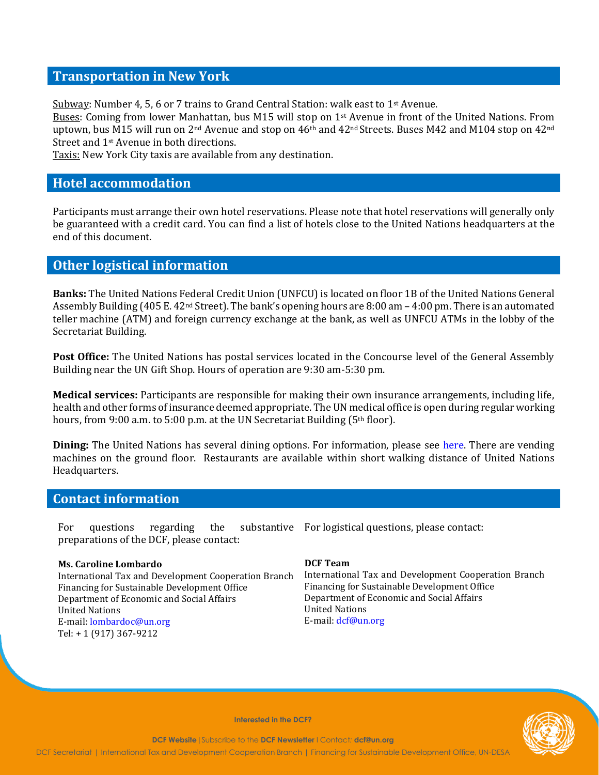## **Transportation in New York**

Subway: Number 4, 5, 6 or 7 trains to Grand Central Station: walk east to  $1<sup>st</sup>$  Avenue.

Buses: Coming from lower Manhattan, bus M15 will stop on 1st Avenue in front of the United Nations. From uptown, bus M15 will run on 2<sup>nd</sup> Avenue and stop on 46<sup>th</sup> and 42<sup>nd</sup> Streets. Buses M42 and M104 stop on 42<sup>nd</sup> Street and 1st Avenue in both directions.

Taxis: New York City taxis are available from any destination.

#### **Hotel accommodation**

Participants must arrange their own hotel reservations. Please note that hotel reservations will generally only be guaranteed with a credit card. You can find a list of hotels close to the United Nations headquarters at the end of this document.

## **Other logistical information**

**Banks:** The United Nations Federal Credit Union (UNFCU) is located on floor 1B of the United Nations General Assembly Building (405 E. 42nd Street). The bank's opening hours are 8:00 am – 4:00 pm. There is an automated teller machine (ATM) and foreign currency exchange at the bank, as well as UNFCU ATMs in the lobby of the Secretariat Building.

**Post Office:** The United Nations has postal services located in the Concourse level of the General Assembly Building near the UN Gift Shop. Hours of operation are 9:30 am-5:30 pm.

**Medical services:** Participants are responsible for making their own insurance arrangements, including life, health and other forms of insurance deemed appropriate. The UN medical office is open during regular working hours, from 9:00 a.m. to 5:00 p.m. at the UN Secretariat Building (5<sup>th</sup> floor).

**Dining:** The United Nations has several dining options. For information, please see [here.](https://unitednations.catertrax.com/) There are vending machines on the ground floor. Restaurants are available within short walking distance of United Nations Headquarters.

## **Contact information**

For questions regarding the substantive For logistical questions, please contact: preparations of the DCF, please contact:

#### **Ms. Caroline Lombardo**

International Tax and Development Cooperation Branch Financing for Sustainable Development Office Department of Economic and Social Affairs United Nations E-mail: [lombardoc@un.org](mailto:lombardoc@un.org) Tel: + 1 (917) 367-9212

#### **DCF Team**

International Tax and Development Cooperation Branch Financing for Sustainable Development Office Department of Economic and Social Affairs United Nations E-mail: [dcf@un.org](mailto:dcf@un.org)



**Interested in the DCF?**